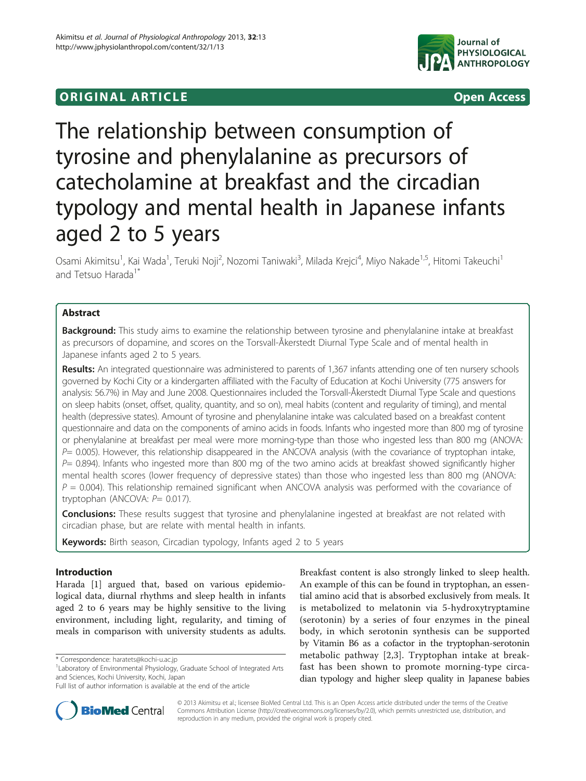## **ORIGINAL ARTICLE CONSUMING A LIGACION** CONSUMING A LIGACION CONSUMING A LIGACION CONSUMING A LIGACION CONSUMING A LIGACION CONSUMING A LIGACION CONSUMING A LIGACION CONSUMING A LIGACION CONSUMING A LIGACION CONSUMING A



# The relationship between consumption of tyrosine and phenylalanine as precursors of catecholamine at breakfast and the circadian typology and mental health in Japanese infants aged 2 to 5 years

Osami Akimitsu<sup>1</sup>, Kai Wada<sup>1</sup>, Teruki Noji<sup>2</sup>, Nozomi Taniwaki<sup>3</sup>, Milada Krejci<sup>4</sup>, Miyo Nakade<sup>1,5</sup>, Hitomi Takeuchi<sup>1</sup> and Tetsuo Harada<sup>1\*</sup>

## Abstract

Background: This study aims to examine the relationship between tyrosine and phenylalanine intake at breakfast as precursors of dopamine, and scores on the Torsvall-Åkerstedt Diurnal Type Scale and of mental health in Japanese infants aged 2 to 5 years.

Results: An integrated questionnaire was administered to parents of 1,367 infants attending one of ten nursery schools governed by Kochi City or a kindergarten affiliated with the Faculty of Education at Kochi University (775 answers for analysis: 56.7%) in May and June 2008. Questionnaires included the Torsvall-Åkerstedt Diurnal Type Scale and questions on sleep habits (onset, offset, quality, quantity, and so on), meal habits (content and regularity of timing), and mental health (depressive states). Amount of tyrosine and phenylalanine intake was calculated based on a breakfast content questionnaire and data on the components of amino acids in foods. Infants who ingested more than 800 mg of tyrosine or phenylalanine at breakfast per meal were more morning-type than those who ingested less than 800 mg (ANOVA:  $P=$  0.005). However, this relationship disappeared in the ANCOVA analysis (with the covariance of tryptophan intake,  $P= 0.894$ ). Infants who ingested more than 800 mg of the two amino acids at breakfast showed significantly higher mental health scores (lower frequency of depressive states) than those who ingested less than 800 mg (ANOVA:  $P = 0.004$ ). This relationship remained significant when ANCOVA analysis was performed with the covariance of tryptophan (ANCOVA:  $P= 0.017$ ).

**Conclusions:** These results suggest that tyrosine and phenylalanine ingested at breakfast are not related with circadian phase, but are relate with mental health in infants.

Keywords: Birth season, Circadian typology, Infants aged 2 to 5 years

## Introduction

Harada [[1\]](#page-7-0) argued that, based on various epidemiological data, diurnal rhythms and sleep health in infants aged 2 to 6 years may be highly sensitive to the living environment, including light, regularity, and timing of meals in comparison with university students as adults.

Breakfast content is also strongly linked to sleep health. An example of this can be found in tryptophan, an essential amino acid that is absorbed exclusively from meals. It is metabolized to melatonin via 5-hydroxytryptamine (serotonin) by a series of four enzymes in the pineal body, in which serotonin synthesis can be supported by Vitamin B6 as a cofactor in the tryptophan-serotonin metabolic pathway [[2,3](#page-7-0)]. Tryptophan intake at breakfast has been shown to promote morning-type circadian typology and higher sleep quality in Japanese babies



© 2013 Akimitsu et al.; licensee BioMed Central Ltd. This is an Open Access article distributed under the terms of the Creative Commons Attribution License [\(http://creativecommons.org/licenses/by/2.0\)](http://creativecommons.org/licenses/by/2.0), which permits unrestricted use, distribution, and reproduction in any medium, provided the original work is properly cited.

<sup>\*</sup> Correspondence: [haratets@kochi-u.ac.jp](mailto:haratets@kochi-u.ac.jp) <sup>1</sup>

<sup>&</sup>lt;sup>1</sup> Laboratory of Environmental Physiology, Graduate School of Integrated Arts and Sciences, Kochi University, Kochi, Japan

Full list of author information is available at the end of the article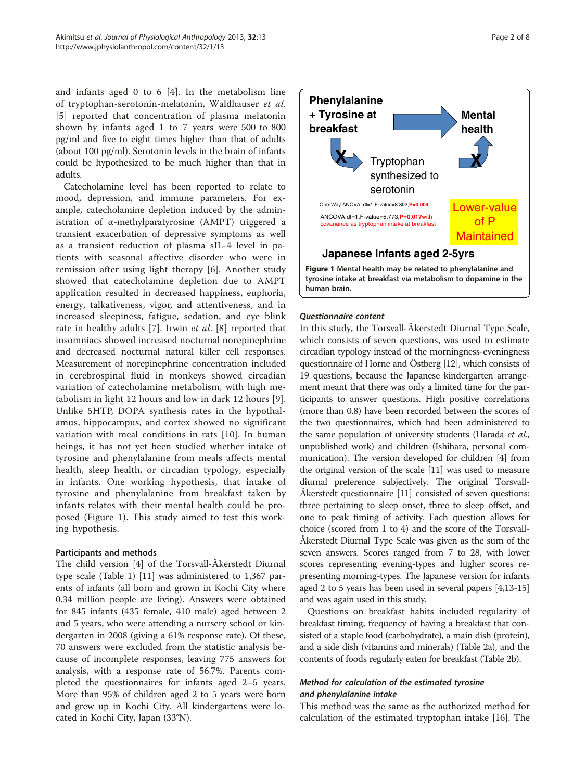<span id="page-1-0"></span>and infants aged 0 to 6 [[4\]](#page-7-0). In the metabolism line of tryptophan-serotonin-melatonin, Waldhauser et al. [[5](#page-7-0)] reported that concentration of plasma melatonin shown by infants aged 1 to 7 years were 500 to 800 pg/ml and five to eight times higher than that of adults (about 100 pg/ml). Serotonin levels in the brain of infants could be hypothesized to be much higher than that in adults.

Catecholamine level has been reported to relate to mood, depression, and immune parameters. For example, catecholamine depletion induced by the administration of α-methylparatyrosine (AMPT) triggered a transient exacerbation of depressive symptoms as well as a transient reduction of plasma sIL-4 level in patients with seasonal affective disorder who were in remission after using light therapy [[6](#page-7-0)]. Another study showed that catecholamine depletion due to AMPT application resulted in decreased happiness, euphoria, energy, talkativeness, vigor, and attentiveness, and in increased sleepiness, fatigue, sedation, and eye blink rate in healthy adults [\[7](#page-7-0)]. Irwin et al. [[8\]](#page-7-0) reported that insomniacs showed increased nocturnal norepinephrine and decreased nocturnal natural killer cell responses. Measurement of norepinephrine concentration included in cerebrospinal fluid in monkeys showed circadian variation of catecholamine metabolism, with high metabolism in light 12 hours and low in dark 12 hours [[9](#page-7-0)]. Unlike 5HTP, DOPA synthesis rates in the hypothalamus, hippocampus, and cortex showed no significant variation with meal conditions in rats [\[10\]](#page-7-0). In human beings, it has not yet been studied whether intake of tyrosine and phenylalanine from meals affects mental health, sleep health, or circadian typology, especially in infants. One working hypothesis, that intake of tyrosine and phenylalanine from breakfast taken by infants relates with their mental health could be proposed (Figure 1). This study aimed to test this working hypothesis.

## Participants and methods

The child version [\[4\]](#page-7-0) of the Torsvall-Åkerstedt Diurnal type scale (Table [1\)](#page-2-0) [[11](#page-7-0)] was administered to 1,367 parents of infants (all born and grown in Kochi City where 0.34 million people are living). Answers were obtained for 845 infants (435 female, 410 male) aged between 2 and 5 years, who were attending a nursery school or kindergarten in 2008 (giving a 61% response rate). Of these, 70 answers were excluded from the statistic analysis because of incomplete responses, leaving 775 answers for analysis, with a response rate of 56.7%. Parents completed the questionnaires for infants aged 2–5 years. More than 95% of children aged 2 to 5 years were born and grew up in Kochi City. All kindergartens were located in Kochi City, Japan (33°N).



## Questionnaire content

In this study, the Torsvall-Åkerstedt Diurnal Type Scale, which consists of seven questions, was used to estimate circadian typology instead of the morningness-eveningness questionnaire of Horne and Östberg [[12](#page-7-0)], which consists of 19 questions, because the Japanese kindergarten arrangement meant that there was only a limited time for the participants to answer questions. High positive correlations (more than 0.8) have been recorded between the scores of the two questionnaires, which had been administered to the same population of university students (Harada et al., unpublished work) and children (Ishihara, personal communication). The version developed for children [[4](#page-7-0)] from the original version of the scale [\[11\]](#page-7-0) was used to measure diurnal preference subjectively. The original Torsvall-Åkerstedt questionnaire [\[11](#page-7-0)] consisted of seven questions: three pertaining to sleep onset, three to sleep offset, and one to peak timing of activity. Each question allows for choice (scored from 1 to 4) and the score of the Torsvall-Åkerstedt Diurnal Type Scale was given as the sum of the seven answers. Scores ranged from 7 to 28, with lower scores representing evening-types and higher scores representing morning-types. The Japanese version for infants aged 2 to 5 years has been used in several papers [\[4,13-15](#page-7-0)] and was again used in this study.

Questions on breakfast habits included regularity of breakfast timing, frequency of having a breakfast that consisted of a staple food (carbohydrate), a main dish (protein), and a side dish (vitamins and minerals) (Table [2](#page-3-0)a), and the contents of foods regularly eaten for breakfast (Table [2b](#page-3-0)).

## Method for calculation of the estimated tyrosine and phenylalanine intake

This method was the same as the authorized method for calculation of the estimated tryptophan intake [[16\]](#page-7-0). The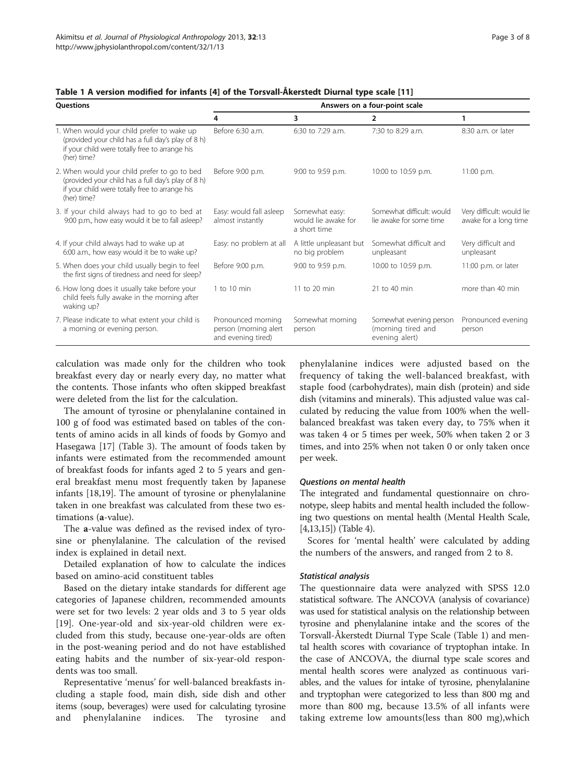| <b>Ouestions</b>                                                                                                                                                    | Answers on a four-point scale                                     |                                                       |                                                                 |                                                    |  |  |  |
|---------------------------------------------------------------------------------------------------------------------------------------------------------------------|-------------------------------------------------------------------|-------------------------------------------------------|-----------------------------------------------------------------|----------------------------------------------------|--|--|--|
|                                                                                                                                                                     | 4                                                                 | 3                                                     | $\overline{2}$                                                  |                                                    |  |  |  |
| 1. When would your child prefer to wake up<br>(provided your child has a full day's play of 8 h)<br>if your child were totally free to arrange his<br>(her) time?   | Before 6:30 a.m.                                                  | 6:30 to 7:29 a.m.                                     | 7:30 to 8:29 a.m.                                               | 8:30 a.m. or later                                 |  |  |  |
| 2. When would your child prefer to go to bed<br>(provided your child has a full day's play of 8 h)<br>if your child were totally free to arrange his<br>(her) time? | Before 9:00 p.m.                                                  | 9:00 to 9:59 p.m.                                     | 10:00 to 10:59 p.m.                                             | 11:00 p.m.                                         |  |  |  |
| 3. If your child always had to go to bed at<br>9:00 p.m., how easy would it be to fall asleep?                                                                      | Easy: would fall asleep<br>almost instantly                       | Somewhat easy:<br>would lie awake for<br>a short time | Somewhat difficult: would<br>lie awake for some time            | Very difficult: would lie<br>awake for a long time |  |  |  |
| 4. If your child always had to wake up at<br>6:00 a.m., how easy would it be to wake up?                                                                            | Easy: no problem at all                                           | A little unpleasant but<br>no big problem             | Somewhat difficult and<br>unpleasant                            | Very difficult and<br>unpleasant                   |  |  |  |
| 5. When does your child usually begin to feel<br>the first signs of tiredness and need for sleep?                                                                   | Before 9:00 p.m.                                                  | 9:00 to 9:59 p.m.                                     | 10:00 to 10:59 p.m.                                             | 11:00 p.m. or later                                |  |  |  |
| 6. How long does it usually take before your<br>child feels fully awake in the morning after<br>waking up?                                                          | 1 to 10 min                                                       | 11 to 20 min                                          | 21 to 40 min                                                    | more than 40 min                                   |  |  |  |
| 7. Please indicate to what extent your child is<br>a morning or evening person.                                                                                     | Pronounced morning<br>person (morning alert<br>and evening tired) | Somewhat morning<br>person                            | Somewhat evening person<br>(morning tired and<br>evening alert) | Pronounced evening<br>person                       |  |  |  |

## <span id="page-2-0"></span>Table 1 A version modified for infants [[4\]](#page-7-0) of the Torsvall-Åkerstedt Diurnal type scale [\[11](#page-7-0)]

calculation was made only for the children who took breakfast every day or nearly every day, no matter what the contents. Those infants who often skipped breakfast were deleted from the list for the calculation.

The amount of tyrosine or phenylalanine contained in 100 g of food was estimated based on tables of the contents of amino acids in all kinds of foods by Gomyo and Hasegawa [\[17\]](#page-7-0) (Table [3](#page-4-0)). The amount of foods taken by infants were estimated from the recommended amount of breakfast foods for infants aged 2 to 5 years and general breakfast menu most frequently taken by Japanese infants [[18,19\]](#page-7-0). The amount of tyrosine or phenylalanine taken in one breakfast was calculated from these two estimations (a-value).

The a-value was defined as the revised index of tyrosine or phenylalanine. The calculation of the revised index is explained in detail next.

Detailed explanation of how to calculate the indices based on amino-acid constituent tables

Based on the dietary intake standards for different age categories of Japanese children, recommended amounts were set for two levels: 2 year olds and 3 to 5 year olds [[19\]](#page-7-0). One-year-old and six-year-old children were excluded from this study, because one-year-olds are often in the post-weaning period and do not have established eating habits and the number of six-year-old respondents was too small.

Representative 'menus' for well-balanced breakfasts including a staple food, main dish, side dish and other items (soup, beverages) were used for calculating tyrosine and phenylalanine indices. The tyrosine and phenylalanine indices were adjusted based on the frequency of taking the well-balanced breakfast, with staple food (carbohydrates), main dish (protein) and side dish (vitamins and minerals). This adjusted value was calculated by reducing the value from 100% when the wellbalanced breakfast was taken every day, to 75% when it was taken 4 or 5 times per week, 50% when taken 2 or 3 times, and into 25% when not taken 0 or only taken once per week.

## Questions on mental health

The integrated and fundamental questionnaire on chronotype, sleep habits and mental health included the following two questions on mental health (Mental Health Scale, [[4,13,15\]](#page-7-0)) (Table [4](#page-4-0)).

Scores for 'mental health' were calculated by adding the numbers of the answers, and ranged from 2 to 8.

#### Statistical analysis

The questionnaire data were analyzed with SPSS 12.0 statistical software. The ANCOVA (analysis of covariance) was used for statistical analysis on the relationship between tyrosine and phenylalanine intake and the scores of the Torsvall-Åkerstedt Diurnal Type Scale (Table 1) and mental health scores with covariance of tryptophan intake. In the case of ANCOVA, the diurnal type scale scores and mental health scores were analyzed as continuous variables, and the values for intake of tyrosine, phenylalanine and tryptophan were categorized to less than 800 mg and more than 800 mg, because 13.5% of all infants were taking extreme low amounts(less than 800 mg),which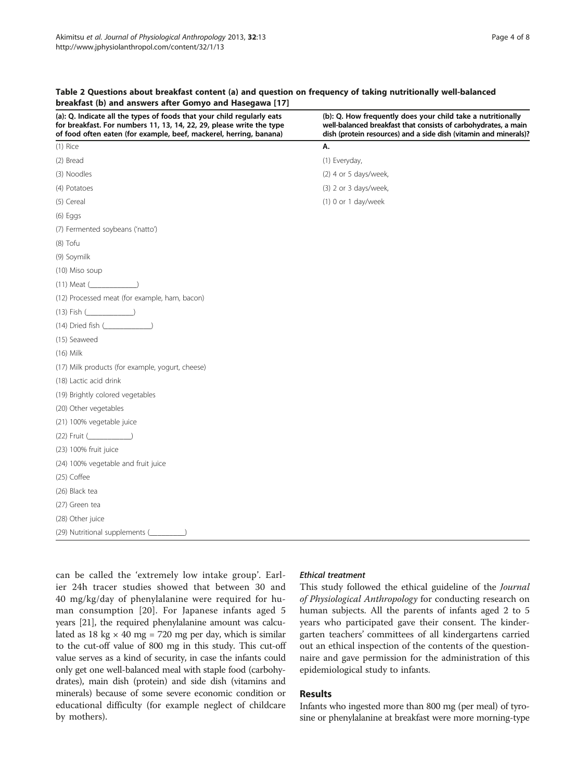| $(1)$ Rice<br>Α.<br>(2) Bread<br>(1) Everyday,<br>(3) Noodles<br>(2) 4 or 5 days/week,<br>(4) Potatoes<br>(3) 2 or 3 days/week,<br>(5) Cereal<br>$(1)$ 0 or 1 day/week<br>$(6)$ Eggs<br>(7) Fermented soybeans ('natto')<br>$(8)$ Tofu<br>(9) Soymilk<br>(10) Miso soup<br>$(11)$ Meat $($<br>(12) Processed meat (for example, ham, bacon)<br>$(13)$ Fish $($<br>$(14)$ Dried fish (2008)<br>(15) Seaweed<br>$(16)$ Milk<br>(17) Milk products (for example, yogurt, cheese)<br>(18) Lactic acid drink<br>(19) Brightly colored vegetables<br>(20) Other vegetables<br>(21) 100% vegetable juice<br>$(22)$ Fruit $($<br>(23) 100% fruit juice<br>(24) 100% vegetable and fruit juice<br>$(25)$ Coffee<br>(26) Black tea<br>(27) Green tea | (a): Q. Indicate all the types of foods that your child regularly eats<br>for breakfast. For numbers 11, 13, 14, 22, 29, please write the type<br>of food often eaten (for example, beef, mackerel, herring, banana) | (b): Q. How frequently does your child take a nutritionally<br>well-balanced breakfast that consists of carbohydrates, a main<br>dish (protein resources) and a side dish (vitamin and minerals)? |
|--------------------------------------------------------------------------------------------------------------------------------------------------------------------------------------------------------------------------------------------------------------------------------------------------------------------------------------------------------------------------------------------------------------------------------------------------------------------------------------------------------------------------------------------------------------------------------------------------------------------------------------------------------------------------------------------------------------------------------------------|----------------------------------------------------------------------------------------------------------------------------------------------------------------------------------------------------------------------|---------------------------------------------------------------------------------------------------------------------------------------------------------------------------------------------------|
|                                                                                                                                                                                                                                                                                                                                                                                                                                                                                                                                                                                                                                                                                                                                            |                                                                                                                                                                                                                      |                                                                                                                                                                                                   |
|                                                                                                                                                                                                                                                                                                                                                                                                                                                                                                                                                                                                                                                                                                                                            |                                                                                                                                                                                                                      |                                                                                                                                                                                                   |
|                                                                                                                                                                                                                                                                                                                                                                                                                                                                                                                                                                                                                                                                                                                                            |                                                                                                                                                                                                                      |                                                                                                                                                                                                   |
|                                                                                                                                                                                                                                                                                                                                                                                                                                                                                                                                                                                                                                                                                                                                            |                                                                                                                                                                                                                      |                                                                                                                                                                                                   |
|                                                                                                                                                                                                                                                                                                                                                                                                                                                                                                                                                                                                                                                                                                                                            |                                                                                                                                                                                                                      |                                                                                                                                                                                                   |
|                                                                                                                                                                                                                                                                                                                                                                                                                                                                                                                                                                                                                                                                                                                                            |                                                                                                                                                                                                                      |                                                                                                                                                                                                   |
|                                                                                                                                                                                                                                                                                                                                                                                                                                                                                                                                                                                                                                                                                                                                            |                                                                                                                                                                                                                      |                                                                                                                                                                                                   |
|                                                                                                                                                                                                                                                                                                                                                                                                                                                                                                                                                                                                                                                                                                                                            |                                                                                                                                                                                                                      |                                                                                                                                                                                                   |
|                                                                                                                                                                                                                                                                                                                                                                                                                                                                                                                                                                                                                                                                                                                                            |                                                                                                                                                                                                                      |                                                                                                                                                                                                   |
|                                                                                                                                                                                                                                                                                                                                                                                                                                                                                                                                                                                                                                                                                                                                            |                                                                                                                                                                                                                      |                                                                                                                                                                                                   |
|                                                                                                                                                                                                                                                                                                                                                                                                                                                                                                                                                                                                                                                                                                                                            |                                                                                                                                                                                                                      |                                                                                                                                                                                                   |
|                                                                                                                                                                                                                                                                                                                                                                                                                                                                                                                                                                                                                                                                                                                                            |                                                                                                                                                                                                                      |                                                                                                                                                                                                   |
|                                                                                                                                                                                                                                                                                                                                                                                                                                                                                                                                                                                                                                                                                                                                            |                                                                                                                                                                                                                      |                                                                                                                                                                                                   |
|                                                                                                                                                                                                                                                                                                                                                                                                                                                                                                                                                                                                                                                                                                                                            |                                                                                                                                                                                                                      |                                                                                                                                                                                                   |
|                                                                                                                                                                                                                                                                                                                                                                                                                                                                                                                                                                                                                                                                                                                                            |                                                                                                                                                                                                                      |                                                                                                                                                                                                   |
|                                                                                                                                                                                                                                                                                                                                                                                                                                                                                                                                                                                                                                                                                                                                            |                                                                                                                                                                                                                      |                                                                                                                                                                                                   |
|                                                                                                                                                                                                                                                                                                                                                                                                                                                                                                                                                                                                                                                                                                                                            |                                                                                                                                                                                                                      |                                                                                                                                                                                                   |
|                                                                                                                                                                                                                                                                                                                                                                                                                                                                                                                                                                                                                                                                                                                                            |                                                                                                                                                                                                                      |                                                                                                                                                                                                   |
|                                                                                                                                                                                                                                                                                                                                                                                                                                                                                                                                                                                                                                                                                                                                            |                                                                                                                                                                                                                      |                                                                                                                                                                                                   |
|                                                                                                                                                                                                                                                                                                                                                                                                                                                                                                                                                                                                                                                                                                                                            |                                                                                                                                                                                                                      |                                                                                                                                                                                                   |
|                                                                                                                                                                                                                                                                                                                                                                                                                                                                                                                                                                                                                                                                                                                                            |                                                                                                                                                                                                                      |                                                                                                                                                                                                   |
|                                                                                                                                                                                                                                                                                                                                                                                                                                                                                                                                                                                                                                                                                                                                            |                                                                                                                                                                                                                      |                                                                                                                                                                                                   |
|                                                                                                                                                                                                                                                                                                                                                                                                                                                                                                                                                                                                                                                                                                                                            |                                                                                                                                                                                                                      |                                                                                                                                                                                                   |
|                                                                                                                                                                                                                                                                                                                                                                                                                                                                                                                                                                                                                                                                                                                                            |                                                                                                                                                                                                                      |                                                                                                                                                                                                   |
|                                                                                                                                                                                                                                                                                                                                                                                                                                                                                                                                                                                                                                                                                                                                            |                                                                                                                                                                                                                      |                                                                                                                                                                                                   |
|                                                                                                                                                                                                                                                                                                                                                                                                                                                                                                                                                                                                                                                                                                                                            |                                                                                                                                                                                                                      |                                                                                                                                                                                                   |
|                                                                                                                                                                                                                                                                                                                                                                                                                                                                                                                                                                                                                                                                                                                                            |                                                                                                                                                                                                                      |                                                                                                                                                                                                   |
|                                                                                                                                                                                                                                                                                                                                                                                                                                                                                                                                                                                                                                                                                                                                            | (28) Other juice                                                                                                                                                                                                     |                                                                                                                                                                                                   |
| (29) Nutritional supplements (                                                                                                                                                                                                                                                                                                                                                                                                                                                                                                                                                                                                                                                                                                             |                                                                                                                                                                                                                      |                                                                                                                                                                                                   |

## <span id="page-3-0"></span>Table 2 Questions about breakfast content (a) and question on frequency of taking nutritionally well-balanced breakfast (b) and answers after Gomyo and Hasegawa [\[17](#page-7-0)]

can be called the 'extremely low intake group'. Earlier 24h tracer studies showed that between 30 and 40 mg/kg/day of phenylalanine were required for human consumption [[20\]](#page-7-0). For Japanese infants aged 5 years [\[21\]](#page-7-0), the required phenylalanine amount was calculated as 18 kg  $\times$  40 mg = 720 mg per day, which is similar to the cut-off value of 800 mg in this study. This cut-off value serves as a kind of security, in case the infants could only get one well-balanced meal with staple food (carbohydrates), main dish (protein) and side dish (vitamins and minerals) because of some severe economic condition or educational difficulty (for example neglect of childcare by mothers).

## Ethical treatment

This study followed the ethical guideline of the Journal of Physiological Anthropology for conducting research on human subjects. All the parents of infants aged 2 to 5 years who participated gave their consent. The kindergarten teachers' committees of all kindergartens carried out an ethical inspection of the contents of the questionnaire and gave permission for the administration of this epidemiological study to infants.

## Results

Infants who ingested more than 800 mg (per meal) of tyrosine or phenylalanine at breakfast were more morning-type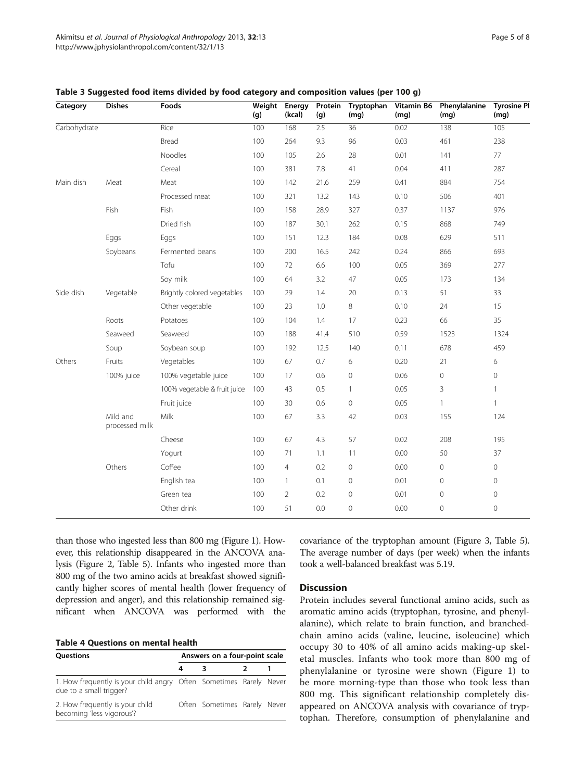| Category     | <b>Dishes</b>              | Foods                        | Weight<br>(g) | Energy<br>(kcal) | Protein<br>(g) | Tryptophan<br>(mg) | Vitamin B6<br>(mq) | Phenylalanine<br>(mg) | <b>Tyrosine PI</b><br>(mg) |
|--------------|----------------------------|------------------------------|---------------|------------------|----------------|--------------------|--------------------|-----------------------|----------------------------|
| Carbohydrate |                            | Rice                         | 100           | 168              | 2.5            | 36                 | 0.02               | 138                   | 105                        |
|              |                            | Bread                        | 100           | 264              | 9.3            | 96                 | 0.03               | 461                   | 238                        |
|              |                            | Noodles                      | 100           | 105              | 2.6            | 28                 | 0.01               | 141                   | 77                         |
|              |                            | Cereal                       | 100           | 381              | 7.8            | 41                 | 0.04               | 411                   | 287                        |
| Main dish    | Meat                       | Meat                         | 100           | 142              | 21.6           | 259                | 0.41               | 884                   | 754                        |
|              |                            | Processed meat               | 100           | 321              | 13.2           | 143                | 0.10               | 506                   | 401                        |
|              | Fish                       | Fish                         | 100           | 158              | 28.9           | 327                | 0.37               | 1137                  | 976                        |
|              |                            | Dried fish                   | 100           | 187              | 30.1           | 262                | 0.15               | 868                   | 749                        |
|              | Eggs                       | Eggs                         | 100           | 151              | 12.3           | 184                | 0.08               | 629                   | 511                        |
|              | Soybeans                   | Fermented beans              | 100           | 200              | 16.5           | 242                | 0.24               | 866                   | 693                        |
|              |                            | Tofu                         | 100           | 72               | 6.6            | 100                | 0.05               | 369                   | 277                        |
|              |                            | Soy milk                     | 100           | 64               | 3.2            | 47                 | 0.05               | 173                   | 134                        |
| Side dish    | Vegetable                  | Brightly colored vegetables  | 100           | 29               | 1.4            | 20                 | 0.13               | 51                    | 33                         |
|              |                            | Other vegetable              | 100           | 23               | 1.0            | 8                  | 0.10               | 24                    | 15                         |
|              | Roots                      | Potatoes                     | 100           | 104              | 1.4            | 17                 | 0.23               | 66                    | 35                         |
|              | Seaweed                    | Seaweed                      | 100           | 188              | 41.4           | 510                | 0.59               | 1523                  | 1324                       |
|              | Soup                       | Soybean soup                 | 100           | 192              | 12.5           | 140                | 0.11               | 678                   | 459                        |
| Others       | Fruits                     | Vegetables                   | 100           | 67               | 0.7            | 6                  | 0.20               | 21                    | 6                          |
|              | 100% juice                 | 100% vegetable juice         | 100           | 17               | 0.6            | $\mathbf 0$        | 0.06               | $\circ$               | 0                          |
|              |                            | 100% vegetable & fruit juice | 100           | 43               | 0.5            | $\mathbf{1}$       | 0.05               | 3                     | $\mathbf{1}$               |
|              |                            | Fruit juice                  | 100           | 30               | 0.6            | $\mathbf 0$        | 0.05               | $\mathbf{1}$          | $\mathbf{1}$               |
|              | Mild and<br>processed milk | Milk                         | 100           | 67               | 3.3            | 42                 | 0.03               | 155                   | 124                        |
|              |                            | Cheese                       | 100           | 67               | 4.3            | 57                 | 0.02               | 208                   | 195                        |
|              |                            | Yogurt                       | 100           | 71               | 1.1            | 11                 | 0.00               | 50                    | 37                         |
|              | Others                     | Coffee                       | 100           | $\overline{4}$   | 0.2            | $\mathbf 0$        | 0.00               | $\circ$               | $\mathsf{O}\xspace$        |
|              |                            | English tea                  | 100           | $\mathbf{1}$     | 0.1            | $\mathbf 0$        | 0.01               | $\circ$               | $\overline{0}$             |
|              |                            | Green tea                    | 100           | $\overline{2}$   | 0.2            | $\mathbf 0$        | 0.01               | $\circ$               | $\mathbf 0$                |
|              |                            | Other drink                  | 100           | 51               | 0.0            | $\mathbf 0$        | 0.00               | $\overline{0}$        | $\overline{0}$             |

<span id="page-4-0"></span>

|  |  | Table 3 Suggested food items divided by food category and composition values (per 100 g) |
|--|--|------------------------------------------------------------------------------------------|
|--|--|------------------------------------------------------------------------------------------|

than those who ingested less than 800 mg (Figure [1](#page-1-0)). However, this relationship disappeared in the ANCOVA analysis (Figure [2,](#page-5-0) Table [5\)](#page-5-0). Infants who ingested more than 800 mg of the two amino acids at breakfast showed significantly higher scores of mental health (lower frequency of depression and anger), and this relationship remained significant when ANCOVA was performed with the

#### Table 4 Questions on mental health

| <b>Questions</b>                                                                              | Answers on a four-point scale |                              |  |  |  |
|-----------------------------------------------------------------------------------------------|-------------------------------|------------------------------|--|--|--|
|                                                                                               | 4                             | 3                            |  |  |  |
| 1. How frequently is your child angry Often Sometimes Rarely Never<br>due to a small trigger? |                               |                              |  |  |  |
| 2. How frequently is your child<br>becoming 'less vigorous'?                                  |                               | Often Sometimes Rarely Never |  |  |  |

covariance of the tryptophan amount (Figure [3,](#page-6-0) Table [5](#page-5-0)). The average number of days (per week) when the infants took a well-balanced breakfast was 5.19.

## **Discussion**

Protein includes several functional amino acids, such as aromatic amino acids (tryptophan, tyrosine, and phenylalanine), which relate to brain function, and branchedchain amino acids (valine, leucine, isoleucine) which occupy 30 to 40% of all amino acids making-up skeletal muscles. Infants who took more than 800 mg of phenylalanine or tyrosine were shown (Figure [1](#page-1-0)) to be more morning-type than those who took less than 800 mg. This significant relationship completely disappeared on ANCOVA analysis with covariance of tryptophan. Therefore, consumption of phenylalanine and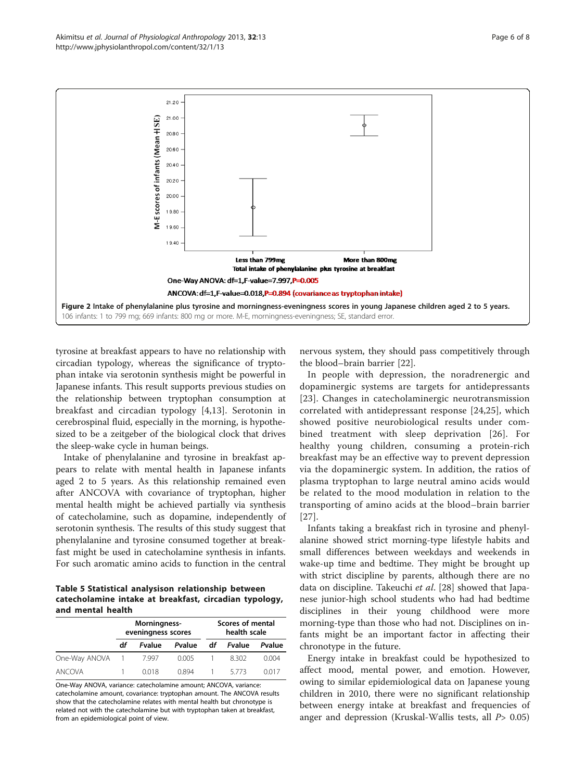tyrosine at breakfast appears to have no relationship with circadian typology, whereas the significance of tryptophan intake via serotonin synthesis might be powerful in Japanese infants. This result supports previous studies on the relationship between tryptophan consumption at breakfast and circadian typology [[4,13\]](#page-7-0). Serotonin in cerebrospinal fluid, especially in the morning, is hypothesized to be a zeitgeber of the biological clock that drives the sleep-wake cycle in human beings.

Intake of phenylalanine and tyrosine in breakfast appears to relate with mental health in Japanese infants aged 2 to 5 years. As this relationship remained even after ANCOVA with covariance of tryptophan, higher mental health might be achieved partially via synthesis of catecholamine, such as dopamine, independently of serotonin synthesis. The results of this study suggest that phenylalanine and tyrosine consumed together at breakfast might be used in catecholamine synthesis in infants. For such aromatic amino acids to function in the central

Table 5 Statistical analysison relationship between catecholamine intake at breakfast, circadian typology, and mental health

|               |    | Morningness-<br>eveningness scores |        |    | Scores of mental<br>health scale |        |  |  |
|---------------|----|------------------------------------|--------|----|----------------------------------|--------|--|--|
|               | df | <b>Fyalue</b>                      | Pvalue | df | Fvalue                           | Pvalue |  |  |
| One-Way ANOVA |    | 7.997                              | 0.005  |    | 8302                             | 0.004  |  |  |
| ANCOVA        |    | 0018                               | 0.894  |    | 5773                             | 0017   |  |  |

One-Way ANOVA, variance: catecholamine amount; ANCOVA, variance: catecholamine amount, covariance: tryptophan amount. The ANCOVA results show that the catecholamine relates with mental health but chronotype is related not with the catecholamine but with tryptophan taken at breakfast, from an epidemiological point of view.

nervous system, they should pass competitively through the blood–brain barrier [\[22](#page-7-0)].

In people with depression, the noradrenergic and dopaminergic systems are targets for antidepressants [[23](#page-7-0)]. Changes in catecholaminergic neurotransmission correlated with antidepressant response [[24,25](#page-7-0)], which showed positive neurobiological results under combined treatment with sleep deprivation [[26\]](#page-7-0). For healthy young children, consuming a protein-rich breakfast may be an effective way to prevent depression via the dopaminergic system. In addition, the ratios of plasma tryptophan to large neutral amino acids would be related to the mood modulation in relation to the transporting of amino acids at the blood–brain barrier [[27](#page-7-0)].

Infants taking a breakfast rich in tyrosine and phenylalanine showed strict morning-type lifestyle habits and small differences between weekdays and weekends in wake-up time and bedtime. They might be brought up with strict discipline by parents, although there are no data on discipline. Takeuchi et al. [\[28\]](#page-7-0) showed that Japanese junior-high school students who had had bedtime disciplines in their young childhood were more morning-type than those who had not. Disciplines on infants might be an important factor in affecting their chronotype in the future.

Energy intake in breakfast could be hypothesized to affect mood, mental power, and emotion. However, owing to similar epidemiological data on Japanese young children in 2010, there were no significant relationship between energy intake at breakfast and frequencies of anger and depression (Kruskal-Wallis tests, all  $P > 0.05$ )

<span id="page-5-0"></span>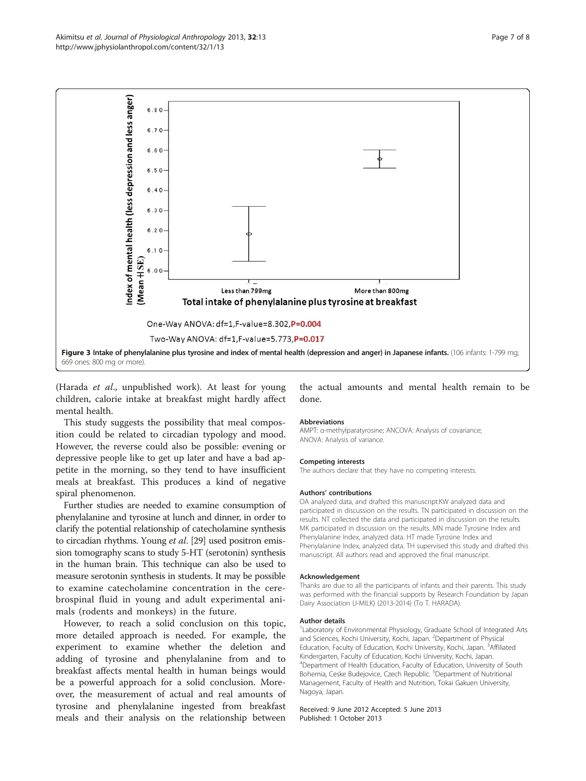<span id="page-6-0"></span>

(Harada et al., unpublished work). At least for young children, calorie intake at breakfast might hardly affect mental health.

This study suggests the possibility that meal composition could be related to circadian typology and mood. However, the reverse could also be possible: evening or depressive people like to get up later and have a bad appetite in the morning, so they tend to have insufficient meals at breakfast. This produces a kind of negative spiral phenomenon.

Further studies are needed to examine consumption of phenylalanine and tyrosine at lunch and dinner, in order to clarify the potential relationship of catecholamine synthesis to circadian rhythms. Young et al. [\[29](#page-7-0)] used positron emission tomography scans to study 5-HT (serotonin) synthesis in the human brain. This technique can also be used to measure serotonin synthesis in students. It may be possible to examine catecholamine concentration in the cerebrospinal fluid in young and adult experimental animals (rodents and monkeys) in the future.

However, to reach a solid conclusion on this topic, more detailed approach is needed. For example, the experiment to examine whether the deletion and adding of tyrosine and phenylalanine from and to breakfast affects mental health in human beings would be a powerful approach for a solid conclusion. Moreover, the measurement of actual and real amounts of tyrosine and phenylalanine ingested from breakfast meals and their analysis on the relationship between

## the actual amounts and mental health remain to be done.

#### Abbreviations

AMPT: α-methylparatyrosine; ANCOVA: Analysis of covariance; ANOVA: Analysis of variance.

#### Competing interests

The authors declare that they have no competing interests.

#### Authors' contributions

OA analyzed data, and drafted this manuscript.KW analyzed data and participated in discussion on the results. TN participated in discussion on the results. NT collected the data and participated in discussion on the results. MK participated in discussion on the results. MN made Tyrosine Index and Phenylalanine Index, analyzed data. HT made Tyrosine Index and Phenylalanine Index, analyzed data. TH supervised this study and drafted this manuscript. All authors read and approved the final manuscript.

#### Acknowledgement

Thanks are due to all the participants of infants and their parents. This study was performed with the financial supports by Research Foundation by Japan Dairy Association (J-MILK) (2013-2014) (To T. HARADA).

#### Author details

<sup>1</sup> Laboratory of Environmental Physiology, Graduate School of Integrated Arts and Sciences, Kochi University, Kochi, Japan. <sup>2</sup>Department of Physical Education, Faculty of Education, Kochi University, Kochi, Japan. <sup>3</sup>Affiliated Kindergarten, Faculty of Education, Kochi University, Kochi, Japan. 4 Department of Health Education, Faculty of Education, University of South Bohemia, Ceske Budejovice, Czech Republic. <sup>5</sup>Department of Nutritional Management, Faculty of Health and Nutrition, Tokai Gakuen University, Nagoya, Japan.

#### Received: 9 June 2012 Accepted: 5 June 2013 Published: 1 October 2013